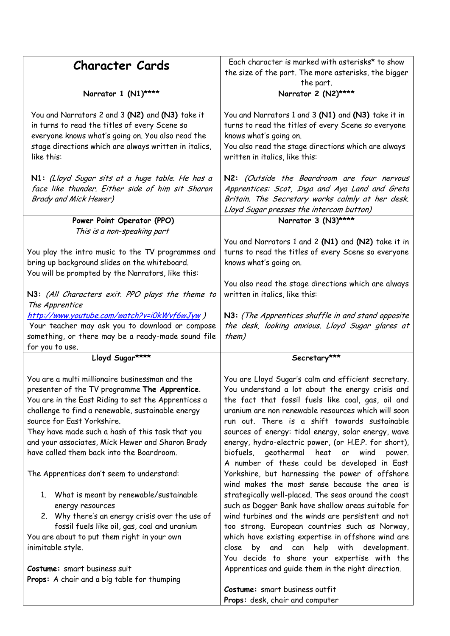| <b>Character Cards</b>                                                                                                                                                                                                                                                                                                                                                                                                                                                                                                                                                                                                                                                                                                                                              | Each character is marked with asterisks* to show<br>the size of the part. The more asterisks, the bigger<br>the part.                                                                                                                                                                                                                                                                                                                                                                                                                                                                                                                                                                                                                                                                                                                                                                                                                                                                                                         |
|---------------------------------------------------------------------------------------------------------------------------------------------------------------------------------------------------------------------------------------------------------------------------------------------------------------------------------------------------------------------------------------------------------------------------------------------------------------------------------------------------------------------------------------------------------------------------------------------------------------------------------------------------------------------------------------------------------------------------------------------------------------------|-------------------------------------------------------------------------------------------------------------------------------------------------------------------------------------------------------------------------------------------------------------------------------------------------------------------------------------------------------------------------------------------------------------------------------------------------------------------------------------------------------------------------------------------------------------------------------------------------------------------------------------------------------------------------------------------------------------------------------------------------------------------------------------------------------------------------------------------------------------------------------------------------------------------------------------------------------------------------------------------------------------------------------|
| Narrator 1 (N1)****                                                                                                                                                                                                                                                                                                                                                                                                                                                                                                                                                                                                                                                                                                                                                 | Narrator 2 (N2)****                                                                                                                                                                                                                                                                                                                                                                                                                                                                                                                                                                                                                                                                                                                                                                                                                                                                                                                                                                                                           |
| You and Narrators 2 and 3 (N2) and (N3) take it<br>in turns to read the titles of every Scene so<br>everyone knows what's going on. You also read the<br>stage directions which are always written in italics,<br>like this:                                                                                                                                                                                                                                                                                                                                                                                                                                                                                                                                        | You and Narrators 1 and 3 (N1) and (N3) take it in<br>turns to read the titles of every Scene so everyone<br>knows what's going on.<br>You also read the stage directions which are always<br>written in italics, like this:                                                                                                                                                                                                                                                                                                                                                                                                                                                                                                                                                                                                                                                                                                                                                                                                  |
| N1: (Lloyd Sugar sits at a huge table. He has a<br>face like thunder. Either side of him sit Sharon<br><b>Brady and Mick Hewer)</b>                                                                                                                                                                                                                                                                                                                                                                                                                                                                                                                                                                                                                                 | N2: (Outside the Boardroom are four nervous<br>Apprentices: Scot, Inga and Aya Land and Greta<br>Britain. The Secretary works calmly at her desk.<br>Lloyd Sugar presses the intercom button)                                                                                                                                                                                                                                                                                                                                                                                                                                                                                                                                                                                                                                                                                                                                                                                                                                 |
| Power Point Operator (PPO)                                                                                                                                                                                                                                                                                                                                                                                                                                                                                                                                                                                                                                                                                                                                          | Narrator 3 (N3)****                                                                                                                                                                                                                                                                                                                                                                                                                                                                                                                                                                                                                                                                                                                                                                                                                                                                                                                                                                                                           |
| This is a non-speaking part<br>You play the intro music to the TV programmes and<br>bring up background slides on the whiteboard.<br>You will be prompted by the Narrators, like this:                                                                                                                                                                                                                                                                                                                                                                                                                                                                                                                                                                              | You and Narrators 1 and 2 (N1) and (N2) take it in<br>turns to read the titles of every Scene so everyone<br>knows what's going on.<br>You also read the stage directions which are always<br>written in italics, like this:                                                                                                                                                                                                                                                                                                                                                                                                                                                                                                                                                                                                                                                                                                                                                                                                  |
| N3: (All Characters exit. PPO plays the theme to<br>The Apprentice<br>http://www.youtube.com/watch?v=i0kWvf6wJyw)<br>Your teacher may ask you to download or compose                                                                                                                                                                                                                                                                                                                                                                                                                                                                                                                                                                                                | N3: (The Apprentices shuffle in and stand opposite<br>the desk, looking anxious. Lloyd Sugar glares at                                                                                                                                                                                                                                                                                                                                                                                                                                                                                                                                                                                                                                                                                                                                                                                                                                                                                                                        |
| something, or there may be a ready-made sound file<br>for you to use.                                                                                                                                                                                                                                                                                                                                                                                                                                                                                                                                                                                                                                                                                               | them)                                                                                                                                                                                                                                                                                                                                                                                                                                                                                                                                                                                                                                                                                                                                                                                                                                                                                                                                                                                                                         |
| Lloyd Sugar****                                                                                                                                                                                                                                                                                                                                                                                                                                                                                                                                                                                                                                                                                                                                                     | Secretary***                                                                                                                                                                                                                                                                                                                                                                                                                                                                                                                                                                                                                                                                                                                                                                                                                                                                                                                                                                                                                  |
| You are a multi millionaire businessman and the<br>presenter of the TV programme The Apprentice.<br>You are in the East Riding to set the Apprentices a<br>challenge to find a renewable, sustainable energy<br>source for East Yorkshire.<br>They have made such a hash of this task that you<br>and your associates, Mick Hewer and Sharon Brady<br>have called them back into the Boardroom.<br>The Apprentices don't seem to understand:<br>1. What is meant by renewable/sustainable<br>energy resources<br>2. Why there's an energy crisis over the use of<br>fossil fuels like oil, gas, coal and uranium<br>You are about to put them right in your own<br>inimitable style.<br>Costume: smart business suit<br>Props: A chair and a big table for thumping | You are Lloyd Sugar's calm and efficient secretary.<br>You understand a lot about the energy crisis and<br>the fact that fossil fuels like coal, gas, oil and<br>uranium are non renewable resources which will soon<br>run out. There is a shift towards sustainable<br>sources of energy: tidal energy, solar energy, wave<br>energy, hydro-electric power, (or H.E.P. for short),<br>biofuels, geothermal heat or wind<br>power.<br>A number of these could be developed in East<br>Yorkshire, but harnessing the power of offshore<br>wind makes the most sense because the area is<br>strategically well-placed. The seas around the coast<br>such as Dogger Bank have shallow areas suitable for<br>wind turbines and the winds are persistent and not<br>too strong. European countries such as Norway,<br>which have existing expertise in offshore wind are<br>and can<br>help with development.<br>by<br>close<br>You decide to share your expertise with the<br>Apprentices and guide them in the right direction. |
|                                                                                                                                                                                                                                                                                                                                                                                                                                                                                                                                                                                                                                                                                                                                                                     | Costume: smart business outfit<br>Props: desk, chair and computer                                                                                                                                                                                                                                                                                                                                                                                                                                                                                                                                                                                                                                                                                                                                                                                                                                                                                                                                                             |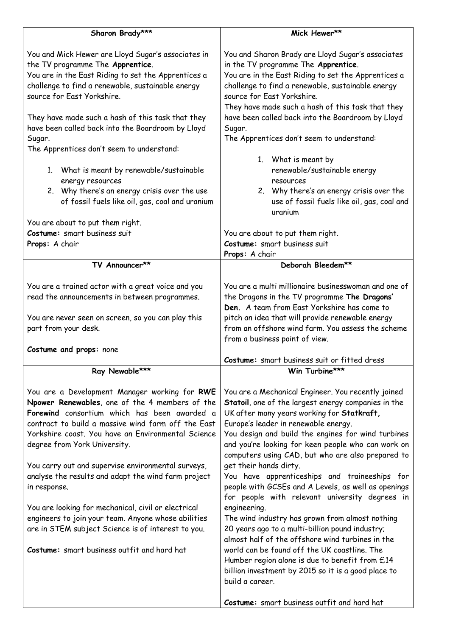| You and Mick Hewer are Lloyd Sugar's associates in<br>You and Sharon Brady are Lloyd Sugar's associates<br>the TV programme The Apprentice.<br>in the TV programme The Apprentice.<br>You are in the East Riding to set the Apprentices a<br>You are in the East Riding to set the Apprentices a<br>challenge to find a renewable, sustainable energy<br>challenge to find a renewable, sustainable energy<br>source for East Yorkshire.<br>source for East Yorkshire.<br>They have made such a hash of this task that they<br>They have made such a hash of this task that they<br>have been called back into the Boardroom by Lloyd<br>have been called back into the Boardroom by Lloyd<br>Sugar.<br>Sugar.<br>The Apprentices don't seem to understand:<br>The Apprentices don't seem to understand:<br>1. What is meant by<br>renewable/sustainable energy<br>1. What is meant by renewable/sustainable<br>energy resources<br>resources<br>2. Why there's an energy crisis over the use<br>2. Why there's an energy crisis over the<br>of fossil fuels like oil, gas, coal and uranium<br>use of fossil fuels like oil, gas, coal and<br>uranium<br>You are about to put them right.<br>Costume: smart business suit<br>You are about to put them right.<br>Costume: smart business suit<br>Props: A chair<br>Props: A chair<br>Deborah Bleedem**<br>TV Announcer**<br>You are a multi millionaire businesswoman and one of<br>You are a trained actor with a great voice and you<br>the Dragons in the TV programme The Dragons'<br>read the announcements in between programmes.<br>Den. A team from East Yorkshire has come to<br>pitch an idea that will provide renewable energy<br>You are never seen on screen, so you can play this<br>from an offshore wind farm. You assess the scheme<br>part from your desk.<br>from a business point of view.<br>Costume and props: none<br>Costume: smart business suit or fitted dress<br>Ray Newable***<br>Win Turbine***<br>You are a Development Manager working for RWE<br>You are a Mechanical Engineer. You recently joined<br>Npower Renewables, one of the 4 members of the<br>Statoil, one of the largest energy companies in the<br>Forewind consortium which has been awarded a<br>UK after many years working for Statkraft,<br>contract to build a massive wind farm off the East<br>Europe's leader in renewable energy.<br>Yorkshire coast. You have an Environmental Science<br>You design and build the engines for wind turbines<br>and you're looking for keen people who can work on<br>degree from York University.<br>computers using CAD, but who are also prepared to<br>You carry out and supervise environmental surveys,<br>get their hands dirty.<br>analyse the results and adapt the wind farm project<br>You have apprenticeships and traineeships for<br>people with GCSEs and A Levels, as well as openings<br>in response.<br>for people with relevant university degrees in<br>engineering.<br>You are looking for mechanical, civil or electrical<br>engineers to join your team. Anyone whose abilities<br>The wind industry has grown from almost nothing<br>20 years ago to a multi-billion pound industry;<br>are in STEM subject Science is of interest to you.<br>almost half of the offshore wind turbines in the<br>world can be found off the UK coastline. The<br>Costume: smart business outfit and hard hat<br>Humber region alone is due to benefit from £14<br>billion investment by 2015 so it is a good place to<br>build a career.<br>Costume: smart business outfit and hard hat | Sharon Brady*** | Mick Hewer** |
|---------------------------------------------------------------------------------------------------------------------------------------------------------------------------------------------------------------------------------------------------------------------------------------------------------------------------------------------------------------------------------------------------------------------------------------------------------------------------------------------------------------------------------------------------------------------------------------------------------------------------------------------------------------------------------------------------------------------------------------------------------------------------------------------------------------------------------------------------------------------------------------------------------------------------------------------------------------------------------------------------------------------------------------------------------------------------------------------------------------------------------------------------------------------------------------------------------------------------------------------------------------------------------------------------------------------------------------------------------------------------------------------------------------------------------------------------------------------------------------------------------------------------------------------------------------------------------------------------------------------------------------------------------------------------------------------------------------------------------------------------------------------------------------------------------------------------------------------------------------------------------------------------------------------------------------------------------------------------------------------------------------------------------------------------------------------------------------------------------------------------------------------------------------------------------------------------------------------------------------------------------------------------------------------------------------------------------------------------------------------------------------------------------------------------------------------------------------------------------------------------------------------------------------------------------------------------------------------------------------------------------------------------------------------------------------------------------------------------------------------------------------------------------------------------------------------------------------------------------------------------------------------------------------------------------------------------------------------------------------------------------------------------------------------------------------------------------------------------------------------------------------------------------------------------------------------------------------------------------------------------------------------------------------------------------------------------------------------------------------------------------------------------------------------------------------------------------------------------------------------------------------------------------------------------------------------------------------------|-----------------|--------------|
|                                                                                                                                                                                                                                                                                                                                                                                                                                                                                                                                                                                                                                                                                                                                                                                                                                                                                                                                                                                                                                                                                                                                                                                                                                                                                                                                                                                                                                                                                                                                                                                                                                                                                                                                                                                                                                                                                                                                                                                                                                                                                                                                                                                                                                                                                                                                                                                                                                                                                                                                                                                                                                                                                                                                                                                                                                                                                                                                                                                                                                                                                                                                                                                                                                                                                                                                                                                                                                                                                                                                                                                             |                 |              |
|                                                                                                                                                                                                                                                                                                                                                                                                                                                                                                                                                                                                                                                                                                                                                                                                                                                                                                                                                                                                                                                                                                                                                                                                                                                                                                                                                                                                                                                                                                                                                                                                                                                                                                                                                                                                                                                                                                                                                                                                                                                                                                                                                                                                                                                                                                                                                                                                                                                                                                                                                                                                                                                                                                                                                                                                                                                                                                                                                                                                                                                                                                                                                                                                                                                                                                                                                                                                                                                                                                                                                                                             |                 |              |
|                                                                                                                                                                                                                                                                                                                                                                                                                                                                                                                                                                                                                                                                                                                                                                                                                                                                                                                                                                                                                                                                                                                                                                                                                                                                                                                                                                                                                                                                                                                                                                                                                                                                                                                                                                                                                                                                                                                                                                                                                                                                                                                                                                                                                                                                                                                                                                                                                                                                                                                                                                                                                                                                                                                                                                                                                                                                                                                                                                                                                                                                                                                                                                                                                                                                                                                                                                                                                                                                                                                                                                                             |                 |              |
|                                                                                                                                                                                                                                                                                                                                                                                                                                                                                                                                                                                                                                                                                                                                                                                                                                                                                                                                                                                                                                                                                                                                                                                                                                                                                                                                                                                                                                                                                                                                                                                                                                                                                                                                                                                                                                                                                                                                                                                                                                                                                                                                                                                                                                                                                                                                                                                                                                                                                                                                                                                                                                                                                                                                                                                                                                                                                                                                                                                                                                                                                                                                                                                                                                                                                                                                                                                                                                                                                                                                                                                             |                 |              |
|                                                                                                                                                                                                                                                                                                                                                                                                                                                                                                                                                                                                                                                                                                                                                                                                                                                                                                                                                                                                                                                                                                                                                                                                                                                                                                                                                                                                                                                                                                                                                                                                                                                                                                                                                                                                                                                                                                                                                                                                                                                                                                                                                                                                                                                                                                                                                                                                                                                                                                                                                                                                                                                                                                                                                                                                                                                                                                                                                                                                                                                                                                                                                                                                                                                                                                                                                                                                                                                                                                                                                                                             |                 |              |
|                                                                                                                                                                                                                                                                                                                                                                                                                                                                                                                                                                                                                                                                                                                                                                                                                                                                                                                                                                                                                                                                                                                                                                                                                                                                                                                                                                                                                                                                                                                                                                                                                                                                                                                                                                                                                                                                                                                                                                                                                                                                                                                                                                                                                                                                                                                                                                                                                                                                                                                                                                                                                                                                                                                                                                                                                                                                                                                                                                                                                                                                                                                                                                                                                                                                                                                                                                                                                                                                                                                                                                                             |                 |              |
|                                                                                                                                                                                                                                                                                                                                                                                                                                                                                                                                                                                                                                                                                                                                                                                                                                                                                                                                                                                                                                                                                                                                                                                                                                                                                                                                                                                                                                                                                                                                                                                                                                                                                                                                                                                                                                                                                                                                                                                                                                                                                                                                                                                                                                                                                                                                                                                                                                                                                                                                                                                                                                                                                                                                                                                                                                                                                                                                                                                                                                                                                                                                                                                                                                                                                                                                                                                                                                                                                                                                                                                             |                 |              |
|                                                                                                                                                                                                                                                                                                                                                                                                                                                                                                                                                                                                                                                                                                                                                                                                                                                                                                                                                                                                                                                                                                                                                                                                                                                                                                                                                                                                                                                                                                                                                                                                                                                                                                                                                                                                                                                                                                                                                                                                                                                                                                                                                                                                                                                                                                                                                                                                                                                                                                                                                                                                                                                                                                                                                                                                                                                                                                                                                                                                                                                                                                                                                                                                                                                                                                                                                                                                                                                                                                                                                                                             |                 |              |
|                                                                                                                                                                                                                                                                                                                                                                                                                                                                                                                                                                                                                                                                                                                                                                                                                                                                                                                                                                                                                                                                                                                                                                                                                                                                                                                                                                                                                                                                                                                                                                                                                                                                                                                                                                                                                                                                                                                                                                                                                                                                                                                                                                                                                                                                                                                                                                                                                                                                                                                                                                                                                                                                                                                                                                                                                                                                                                                                                                                                                                                                                                                                                                                                                                                                                                                                                                                                                                                                                                                                                                                             |                 |              |
|                                                                                                                                                                                                                                                                                                                                                                                                                                                                                                                                                                                                                                                                                                                                                                                                                                                                                                                                                                                                                                                                                                                                                                                                                                                                                                                                                                                                                                                                                                                                                                                                                                                                                                                                                                                                                                                                                                                                                                                                                                                                                                                                                                                                                                                                                                                                                                                                                                                                                                                                                                                                                                                                                                                                                                                                                                                                                                                                                                                                                                                                                                                                                                                                                                                                                                                                                                                                                                                                                                                                                                                             |                 |              |
|                                                                                                                                                                                                                                                                                                                                                                                                                                                                                                                                                                                                                                                                                                                                                                                                                                                                                                                                                                                                                                                                                                                                                                                                                                                                                                                                                                                                                                                                                                                                                                                                                                                                                                                                                                                                                                                                                                                                                                                                                                                                                                                                                                                                                                                                                                                                                                                                                                                                                                                                                                                                                                                                                                                                                                                                                                                                                                                                                                                                                                                                                                                                                                                                                                                                                                                                                                                                                                                                                                                                                                                             |                 |              |
|                                                                                                                                                                                                                                                                                                                                                                                                                                                                                                                                                                                                                                                                                                                                                                                                                                                                                                                                                                                                                                                                                                                                                                                                                                                                                                                                                                                                                                                                                                                                                                                                                                                                                                                                                                                                                                                                                                                                                                                                                                                                                                                                                                                                                                                                                                                                                                                                                                                                                                                                                                                                                                                                                                                                                                                                                                                                                                                                                                                                                                                                                                                                                                                                                                                                                                                                                                                                                                                                                                                                                                                             |                 |              |
|                                                                                                                                                                                                                                                                                                                                                                                                                                                                                                                                                                                                                                                                                                                                                                                                                                                                                                                                                                                                                                                                                                                                                                                                                                                                                                                                                                                                                                                                                                                                                                                                                                                                                                                                                                                                                                                                                                                                                                                                                                                                                                                                                                                                                                                                                                                                                                                                                                                                                                                                                                                                                                                                                                                                                                                                                                                                                                                                                                                                                                                                                                                                                                                                                                                                                                                                                                                                                                                                                                                                                                                             |                 |              |
|                                                                                                                                                                                                                                                                                                                                                                                                                                                                                                                                                                                                                                                                                                                                                                                                                                                                                                                                                                                                                                                                                                                                                                                                                                                                                                                                                                                                                                                                                                                                                                                                                                                                                                                                                                                                                                                                                                                                                                                                                                                                                                                                                                                                                                                                                                                                                                                                                                                                                                                                                                                                                                                                                                                                                                                                                                                                                                                                                                                                                                                                                                                                                                                                                                                                                                                                                                                                                                                                                                                                                                                             |                 |              |
|                                                                                                                                                                                                                                                                                                                                                                                                                                                                                                                                                                                                                                                                                                                                                                                                                                                                                                                                                                                                                                                                                                                                                                                                                                                                                                                                                                                                                                                                                                                                                                                                                                                                                                                                                                                                                                                                                                                                                                                                                                                                                                                                                                                                                                                                                                                                                                                                                                                                                                                                                                                                                                                                                                                                                                                                                                                                                                                                                                                                                                                                                                                                                                                                                                                                                                                                                                                                                                                                                                                                                                                             |                 |              |
|                                                                                                                                                                                                                                                                                                                                                                                                                                                                                                                                                                                                                                                                                                                                                                                                                                                                                                                                                                                                                                                                                                                                                                                                                                                                                                                                                                                                                                                                                                                                                                                                                                                                                                                                                                                                                                                                                                                                                                                                                                                                                                                                                                                                                                                                                                                                                                                                                                                                                                                                                                                                                                                                                                                                                                                                                                                                                                                                                                                                                                                                                                                                                                                                                                                                                                                                                                                                                                                                                                                                                                                             |                 |              |
|                                                                                                                                                                                                                                                                                                                                                                                                                                                                                                                                                                                                                                                                                                                                                                                                                                                                                                                                                                                                                                                                                                                                                                                                                                                                                                                                                                                                                                                                                                                                                                                                                                                                                                                                                                                                                                                                                                                                                                                                                                                                                                                                                                                                                                                                                                                                                                                                                                                                                                                                                                                                                                                                                                                                                                                                                                                                                                                                                                                                                                                                                                                                                                                                                                                                                                                                                                                                                                                                                                                                                                                             |                 |              |
|                                                                                                                                                                                                                                                                                                                                                                                                                                                                                                                                                                                                                                                                                                                                                                                                                                                                                                                                                                                                                                                                                                                                                                                                                                                                                                                                                                                                                                                                                                                                                                                                                                                                                                                                                                                                                                                                                                                                                                                                                                                                                                                                                                                                                                                                                                                                                                                                                                                                                                                                                                                                                                                                                                                                                                                                                                                                                                                                                                                                                                                                                                                                                                                                                                                                                                                                                                                                                                                                                                                                                                                             |                 |              |
|                                                                                                                                                                                                                                                                                                                                                                                                                                                                                                                                                                                                                                                                                                                                                                                                                                                                                                                                                                                                                                                                                                                                                                                                                                                                                                                                                                                                                                                                                                                                                                                                                                                                                                                                                                                                                                                                                                                                                                                                                                                                                                                                                                                                                                                                                                                                                                                                                                                                                                                                                                                                                                                                                                                                                                                                                                                                                                                                                                                                                                                                                                                                                                                                                                                                                                                                                                                                                                                                                                                                                                                             |                 |              |
|                                                                                                                                                                                                                                                                                                                                                                                                                                                                                                                                                                                                                                                                                                                                                                                                                                                                                                                                                                                                                                                                                                                                                                                                                                                                                                                                                                                                                                                                                                                                                                                                                                                                                                                                                                                                                                                                                                                                                                                                                                                                                                                                                                                                                                                                                                                                                                                                                                                                                                                                                                                                                                                                                                                                                                                                                                                                                                                                                                                                                                                                                                                                                                                                                                                                                                                                                                                                                                                                                                                                                                                             |                 |              |
|                                                                                                                                                                                                                                                                                                                                                                                                                                                                                                                                                                                                                                                                                                                                                                                                                                                                                                                                                                                                                                                                                                                                                                                                                                                                                                                                                                                                                                                                                                                                                                                                                                                                                                                                                                                                                                                                                                                                                                                                                                                                                                                                                                                                                                                                                                                                                                                                                                                                                                                                                                                                                                                                                                                                                                                                                                                                                                                                                                                                                                                                                                                                                                                                                                                                                                                                                                                                                                                                                                                                                                                             |                 |              |
|                                                                                                                                                                                                                                                                                                                                                                                                                                                                                                                                                                                                                                                                                                                                                                                                                                                                                                                                                                                                                                                                                                                                                                                                                                                                                                                                                                                                                                                                                                                                                                                                                                                                                                                                                                                                                                                                                                                                                                                                                                                                                                                                                                                                                                                                                                                                                                                                                                                                                                                                                                                                                                                                                                                                                                                                                                                                                                                                                                                                                                                                                                                                                                                                                                                                                                                                                                                                                                                                                                                                                                                             |                 |              |
|                                                                                                                                                                                                                                                                                                                                                                                                                                                                                                                                                                                                                                                                                                                                                                                                                                                                                                                                                                                                                                                                                                                                                                                                                                                                                                                                                                                                                                                                                                                                                                                                                                                                                                                                                                                                                                                                                                                                                                                                                                                                                                                                                                                                                                                                                                                                                                                                                                                                                                                                                                                                                                                                                                                                                                                                                                                                                                                                                                                                                                                                                                                                                                                                                                                                                                                                                                                                                                                                                                                                                                                             |                 |              |
|                                                                                                                                                                                                                                                                                                                                                                                                                                                                                                                                                                                                                                                                                                                                                                                                                                                                                                                                                                                                                                                                                                                                                                                                                                                                                                                                                                                                                                                                                                                                                                                                                                                                                                                                                                                                                                                                                                                                                                                                                                                                                                                                                                                                                                                                                                                                                                                                                                                                                                                                                                                                                                                                                                                                                                                                                                                                                                                                                                                                                                                                                                                                                                                                                                                                                                                                                                                                                                                                                                                                                                                             |                 |              |
|                                                                                                                                                                                                                                                                                                                                                                                                                                                                                                                                                                                                                                                                                                                                                                                                                                                                                                                                                                                                                                                                                                                                                                                                                                                                                                                                                                                                                                                                                                                                                                                                                                                                                                                                                                                                                                                                                                                                                                                                                                                                                                                                                                                                                                                                                                                                                                                                                                                                                                                                                                                                                                                                                                                                                                                                                                                                                                                                                                                                                                                                                                                                                                                                                                                                                                                                                                                                                                                                                                                                                                                             |                 |              |
|                                                                                                                                                                                                                                                                                                                                                                                                                                                                                                                                                                                                                                                                                                                                                                                                                                                                                                                                                                                                                                                                                                                                                                                                                                                                                                                                                                                                                                                                                                                                                                                                                                                                                                                                                                                                                                                                                                                                                                                                                                                                                                                                                                                                                                                                                                                                                                                                                                                                                                                                                                                                                                                                                                                                                                                                                                                                                                                                                                                                                                                                                                                                                                                                                                                                                                                                                                                                                                                                                                                                                                                             |                 |              |
|                                                                                                                                                                                                                                                                                                                                                                                                                                                                                                                                                                                                                                                                                                                                                                                                                                                                                                                                                                                                                                                                                                                                                                                                                                                                                                                                                                                                                                                                                                                                                                                                                                                                                                                                                                                                                                                                                                                                                                                                                                                                                                                                                                                                                                                                                                                                                                                                                                                                                                                                                                                                                                                                                                                                                                                                                                                                                                                                                                                                                                                                                                                                                                                                                                                                                                                                                                                                                                                                                                                                                                                             |                 |              |
|                                                                                                                                                                                                                                                                                                                                                                                                                                                                                                                                                                                                                                                                                                                                                                                                                                                                                                                                                                                                                                                                                                                                                                                                                                                                                                                                                                                                                                                                                                                                                                                                                                                                                                                                                                                                                                                                                                                                                                                                                                                                                                                                                                                                                                                                                                                                                                                                                                                                                                                                                                                                                                                                                                                                                                                                                                                                                                                                                                                                                                                                                                                                                                                                                                                                                                                                                                                                                                                                                                                                                                                             |                 |              |
|                                                                                                                                                                                                                                                                                                                                                                                                                                                                                                                                                                                                                                                                                                                                                                                                                                                                                                                                                                                                                                                                                                                                                                                                                                                                                                                                                                                                                                                                                                                                                                                                                                                                                                                                                                                                                                                                                                                                                                                                                                                                                                                                                                                                                                                                                                                                                                                                                                                                                                                                                                                                                                                                                                                                                                                                                                                                                                                                                                                                                                                                                                                                                                                                                                                                                                                                                                                                                                                                                                                                                                                             |                 |              |
|                                                                                                                                                                                                                                                                                                                                                                                                                                                                                                                                                                                                                                                                                                                                                                                                                                                                                                                                                                                                                                                                                                                                                                                                                                                                                                                                                                                                                                                                                                                                                                                                                                                                                                                                                                                                                                                                                                                                                                                                                                                                                                                                                                                                                                                                                                                                                                                                                                                                                                                                                                                                                                                                                                                                                                                                                                                                                                                                                                                                                                                                                                                                                                                                                                                                                                                                                                                                                                                                                                                                                                                             |                 |              |
|                                                                                                                                                                                                                                                                                                                                                                                                                                                                                                                                                                                                                                                                                                                                                                                                                                                                                                                                                                                                                                                                                                                                                                                                                                                                                                                                                                                                                                                                                                                                                                                                                                                                                                                                                                                                                                                                                                                                                                                                                                                                                                                                                                                                                                                                                                                                                                                                                                                                                                                                                                                                                                                                                                                                                                                                                                                                                                                                                                                                                                                                                                                                                                                                                                                                                                                                                                                                                                                                                                                                                                                             |                 |              |
|                                                                                                                                                                                                                                                                                                                                                                                                                                                                                                                                                                                                                                                                                                                                                                                                                                                                                                                                                                                                                                                                                                                                                                                                                                                                                                                                                                                                                                                                                                                                                                                                                                                                                                                                                                                                                                                                                                                                                                                                                                                                                                                                                                                                                                                                                                                                                                                                                                                                                                                                                                                                                                                                                                                                                                                                                                                                                                                                                                                                                                                                                                                                                                                                                                                                                                                                                                                                                                                                                                                                                                                             |                 |              |
|                                                                                                                                                                                                                                                                                                                                                                                                                                                                                                                                                                                                                                                                                                                                                                                                                                                                                                                                                                                                                                                                                                                                                                                                                                                                                                                                                                                                                                                                                                                                                                                                                                                                                                                                                                                                                                                                                                                                                                                                                                                                                                                                                                                                                                                                                                                                                                                                                                                                                                                                                                                                                                                                                                                                                                                                                                                                                                                                                                                                                                                                                                                                                                                                                                                                                                                                                                                                                                                                                                                                                                                             |                 |              |
|                                                                                                                                                                                                                                                                                                                                                                                                                                                                                                                                                                                                                                                                                                                                                                                                                                                                                                                                                                                                                                                                                                                                                                                                                                                                                                                                                                                                                                                                                                                                                                                                                                                                                                                                                                                                                                                                                                                                                                                                                                                                                                                                                                                                                                                                                                                                                                                                                                                                                                                                                                                                                                                                                                                                                                                                                                                                                                                                                                                                                                                                                                                                                                                                                                                                                                                                                                                                                                                                                                                                                                                             |                 |              |
|                                                                                                                                                                                                                                                                                                                                                                                                                                                                                                                                                                                                                                                                                                                                                                                                                                                                                                                                                                                                                                                                                                                                                                                                                                                                                                                                                                                                                                                                                                                                                                                                                                                                                                                                                                                                                                                                                                                                                                                                                                                                                                                                                                                                                                                                                                                                                                                                                                                                                                                                                                                                                                                                                                                                                                                                                                                                                                                                                                                                                                                                                                                                                                                                                                                                                                                                                                                                                                                                                                                                                                                             |                 |              |
|                                                                                                                                                                                                                                                                                                                                                                                                                                                                                                                                                                                                                                                                                                                                                                                                                                                                                                                                                                                                                                                                                                                                                                                                                                                                                                                                                                                                                                                                                                                                                                                                                                                                                                                                                                                                                                                                                                                                                                                                                                                                                                                                                                                                                                                                                                                                                                                                                                                                                                                                                                                                                                                                                                                                                                                                                                                                                                                                                                                                                                                                                                                                                                                                                                                                                                                                                                                                                                                                                                                                                                                             |                 |              |
|                                                                                                                                                                                                                                                                                                                                                                                                                                                                                                                                                                                                                                                                                                                                                                                                                                                                                                                                                                                                                                                                                                                                                                                                                                                                                                                                                                                                                                                                                                                                                                                                                                                                                                                                                                                                                                                                                                                                                                                                                                                                                                                                                                                                                                                                                                                                                                                                                                                                                                                                                                                                                                                                                                                                                                                                                                                                                                                                                                                                                                                                                                                                                                                                                                                                                                                                                                                                                                                                                                                                                                                             |                 |              |
|                                                                                                                                                                                                                                                                                                                                                                                                                                                                                                                                                                                                                                                                                                                                                                                                                                                                                                                                                                                                                                                                                                                                                                                                                                                                                                                                                                                                                                                                                                                                                                                                                                                                                                                                                                                                                                                                                                                                                                                                                                                                                                                                                                                                                                                                                                                                                                                                                                                                                                                                                                                                                                                                                                                                                                                                                                                                                                                                                                                                                                                                                                                                                                                                                                                                                                                                                                                                                                                                                                                                                                                             |                 |              |
|                                                                                                                                                                                                                                                                                                                                                                                                                                                                                                                                                                                                                                                                                                                                                                                                                                                                                                                                                                                                                                                                                                                                                                                                                                                                                                                                                                                                                                                                                                                                                                                                                                                                                                                                                                                                                                                                                                                                                                                                                                                                                                                                                                                                                                                                                                                                                                                                                                                                                                                                                                                                                                                                                                                                                                                                                                                                                                                                                                                                                                                                                                                                                                                                                                                                                                                                                                                                                                                                                                                                                                                             |                 |              |
|                                                                                                                                                                                                                                                                                                                                                                                                                                                                                                                                                                                                                                                                                                                                                                                                                                                                                                                                                                                                                                                                                                                                                                                                                                                                                                                                                                                                                                                                                                                                                                                                                                                                                                                                                                                                                                                                                                                                                                                                                                                                                                                                                                                                                                                                                                                                                                                                                                                                                                                                                                                                                                                                                                                                                                                                                                                                                                                                                                                                                                                                                                                                                                                                                                                                                                                                                                                                                                                                                                                                                                                             |                 |              |
|                                                                                                                                                                                                                                                                                                                                                                                                                                                                                                                                                                                                                                                                                                                                                                                                                                                                                                                                                                                                                                                                                                                                                                                                                                                                                                                                                                                                                                                                                                                                                                                                                                                                                                                                                                                                                                                                                                                                                                                                                                                                                                                                                                                                                                                                                                                                                                                                                                                                                                                                                                                                                                                                                                                                                                                                                                                                                                                                                                                                                                                                                                                                                                                                                                                                                                                                                                                                                                                                                                                                                                                             |                 |              |
|                                                                                                                                                                                                                                                                                                                                                                                                                                                                                                                                                                                                                                                                                                                                                                                                                                                                                                                                                                                                                                                                                                                                                                                                                                                                                                                                                                                                                                                                                                                                                                                                                                                                                                                                                                                                                                                                                                                                                                                                                                                                                                                                                                                                                                                                                                                                                                                                                                                                                                                                                                                                                                                                                                                                                                                                                                                                                                                                                                                                                                                                                                                                                                                                                                                                                                                                                                                                                                                                                                                                                                                             |                 |              |
|                                                                                                                                                                                                                                                                                                                                                                                                                                                                                                                                                                                                                                                                                                                                                                                                                                                                                                                                                                                                                                                                                                                                                                                                                                                                                                                                                                                                                                                                                                                                                                                                                                                                                                                                                                                                                                                                                                                                                                                                                                                                                                                                                                                                                                                                                                                                                                                                                                                                                                                                                                                                                                                                                                                                                                                                                                                                                                                                                                                                                                                                                                                                                                                                                                                                                                                                                                                                                                                                                                                                                                                             |                 |              |
|                                                                                                                                                                                                                                                                                                                                                                                                                                                                                                                                                                                                                                                                                                                                                                                                                                                                                                                                                                                                                                                                                                                                                                                                                                                                                                                                                                                                                                                                                                                                                                                                                                                                                                                                                                                                                                                                                                                                                                                                                                                                                                                                                                                                                                                                                                                                                                                                                                                                                                                                                                                                                                                                                                                                                                                                                                                                                                                                                                                                                                                                                                                                                                                                                                                                                                                                                                                                                                                                                                                                                                                             |                 |              |
|                                                                                                                                                                                                                                                                                                                                                                                                                                                                                                                                                                                                                                                                                                                                                                                                                                                                                                                                                                                                                                                                                                                                                                                                                                                                                                                                                                                                                                                                                                                                                                                                                                                                                                                                                                                                                                                                                                                                                                                                                                                                                                                                                                                                                                                                                                                                                                                                                                                                                                                                                                                                                                                                                                                                                                                                                                                                                                                                                                                                                                                                                                                                                                                                                                                                                                                                                                                                                                                                                                                                                                                             |                 |              |
|                                                                                                                                                                                                                                                                                                                                                                                                                                                                                                                                                                                                                                                                                                                                                                                                                                                                                                                                                                                                                                                                                                                                                                                                                                                                                                                                                                                                                                                                                                                                                                                                                                                                                                                                                                                                                                                                                                                                                                                                                                                                                                                                                                                                                                                                                                                                                                                                                                                                                                                                                                                                                                                                                                                                                                                                                                                                                                                                                                                                                                                                                                                                                                                                                                                                                                                                                                                                                                                                                                                                                                                             |                 |              |
|                                                                                                                                                                                                                                                                                                                                                                                                                                                                                                                                                                                                                                                                                                                                                                                                                                                                                                                                                                                                                                                                                                                                                                                                                                                                                                                                                                                                                                                                                                                                                                                                                                                                                                                                                                                                                                                                                                                                                                                                                                                                                                                                                                                                                                                                                                                                                                                                                                                                                                                                                                                                                                                                                                                                                                                                                                                                                                                                                                                                                                                                                                                                                                                                                                                                                                                                                                                                                                                                                                                                                                                             |                 |              |
|                                                                                                                                                                                                                                                                                                                                                                                                                                                                                                                                                                                                                                                                                                                                                                                                                                                                                                                                                                                                                                                                                                                                                                                                                                                                                                                                                                                                                                                                                                                                                                                                                                                                                                                                                                                                                                                                                                                                                                                                                                                                                                                                                                                                                                                                                                                                                                                                                                                                                                                                                                                                                                                                                                                                                                                                                                                                                                                                                                                                                                                                                                                                                                                                                                                                                                                                                                                                                                                                                                                                                                                             |                 |              |
|                                                                                                                                                                                                                                                                                                                                                                                                                                                                                                                                                                                                                                                                                                                                                                                                                                                                                                                                                                                                                                                                                                                                                                                                                                                                                                                                                                                                                                                                                                                                                                                                                                                                                                                                                                                                                                                                                                                                                                                                                                                                                                                                                                                                                                                                                                                                                                                                                                                                                                                                                                                                                                                                                                                                                                                                                                                                                                                                                                                                                                                                                                                                                                                                                                                                                                                                                                                                                                                                                                                                                                                             |                 |              |
|                                                                                                                                                                                                                                                                                                                                                                                                                                                                                                                                                                                                                                                                                                                                                                                                                                                                                                                                                                                                                                                                                                                                                                                                                                                                                                                                                                                                                                                                                                                                                                                                                                                                                                                                                                                                                                                                                                                                                                                                                                                                                                                                                                                                                                                                                                                                                                                                                                                                                                                                                                                                                                                                                                                                                                                                                                                                                                                                                                                                                                                                                                                                                                                                                                                                                                                                                                                                                                                                                                                                                                                             |                 |              |
|                                                                                                                                                                                                                                                                                                                                                                                                                                                                                                                                                                                                                                                                                                                                                                                                                                                                                                                                                                                                                                                                                                                                                                                                                                                                                                                                                                                                                                                                                                                                                                                                                                                                                                                                                                                                                                                                                                                                                                                                                                                                                                                                                                                                                                                                                                                                                                                                                                                                                                                                                                                                                                                                                                                                                                                                                                                                                                                                                                                                                                                                                                                                                                                                                                                                                                                                                                                                                                                                                                                                                                                             |                 |              |
|                                                                                                                                                                                                                                                                                                                                                                                                                                                                                                                                                                                                                                                                                                                                                                                                                                                                                                                                                                                                                                                                                                                                                                                                                                                                                                                                                                                                                                                                                                                                                                                                                                                                                                                                                                                                                                                                                                                                                                                                                                                                                                                                                                                                                                                                                                                                                                                                                                                                                                                                                                                                                                                                                                                                                                                                                                                                                                                                                                                                                                                                                                                                                                                                                                                                                                                                                                                                                                                                                                                                                                                             |                 |              |
|                                                                                                                                                                                                                                                                                                                                                                                                                                                                                                                                                                                                                                                                                                                                                                                                                                                                                                                                                                                                                                                                                                                                                                                                                                                                                                                                                                                                                                                                                                                                                                                                                                                                                                                                                                                                                                                                                                                                                                                                                                                                                                                                                                                                                                                                                                                                                                                                                                                                                                                                                                                                                                                                                                                                                                                                                                                                                                                                                                                                                                                                                                                                                                                                                                                                                                                                                                                                                                                                                                                                                                                             |                 |              |
|                                                                                                                                                                                                                                                                                                                                                                                                                                                                                                                                                                                                                                                                                                                                                                                                                                                                                                                                                                                                                                                                                                                                                                                                                                                                                                                                                                                                                                                                                                                                                                                                                                                                                                                                                                                                                                                                                                                                                                                                                                                                                                                                                                                                                                                                                                                                                                                                                                                                                                                                                                                                                                                                                                                                                                                                                                                                                                                                                                                                                                                                                                                                                                                                                                                                                                                                                                                                                                                                                                                                                                                             |                 |              |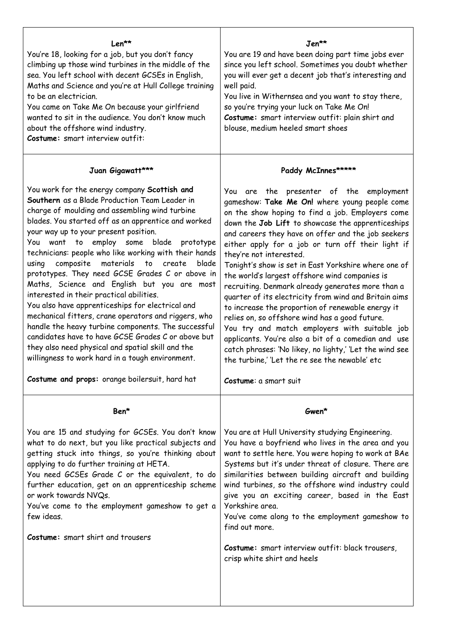| Len**<br>You're 18, looking for a job, but you don't fancy<br>climbing up those wind turbines in the middle of the<br>sea. You left school with decent GCSEs in English,<br>Maths and Science and you're at Hull College training<br>to be an electrician.<br>You came on Take Me On because your girlfriend<br>wanted to sit in the audience. You don't know much<br>about the offshore wind industry.<br>Costume: smart interview outfit:                                                                                                                                                                                                                                                                                                                                                                                                                                                        | Jen**<br>You are 19 and have been doing part time jobs ever<br>since you left school. Sometimes you doubt whether<br>you will ever get a decent job that's interesting and<br>well paid.<br>You live in Withernsea and you want to stay there,<br>so you're trying your luck on Take Me On!<br>Costume: smart interview outfit: plain shirt and<br>blouse, medium heeled smart shoes                                                                                                                                                                                                                                                                                                                                                                                                                                                                                                        |
|----------------------------------------------------------------------------------------------------------------------------------------------------------------------------------------------------------------------------------------------------------------------------------------------------------------------------------------------------------------------------------------------------------------------------------------------------------------------------------------------------------------------------------------------------------------------------------------------------------------------------------------------------------------------------------------------------------------------------------------------------------------------------------------------------------------------------------------------------------------------------------------------------|---------------------------------------------------------------------------------------------------------------------------------------------------------------------------------------------------------------------------------------------------------------------------------------------------------------------------------------------------------------------------------------------------------------------------------------------------------------------------------------------------------------------------------------------------------------------------------------------------------------------------------------------------------------------------------------------------------------------------------------------------------------------------------------------------------------------------------------------------------------------------------------------|
| Juan Gigawatt***                                                                                                                                                                                                                                                                                                                                                                                                                                                                                                                                                                                                                                                                                                                                                                                                                                                                                   | Paddy McInnes*****                                                                                                                                                                                                                                                                                                                                                                                                                                                                                                                                                                                                                                                                                                                                                                                                                                                                          |
| You work for the energy company Scottish and<br>Southern as a Blade Production Team Leader in<br>charge of moulding and assembling wind turbine<br>blades. You started off as an apprentice and worked<br>your way up to your present position.<br>to employ some blade prototype<br>You<br>want<br>technicians: people who like working with their hands<br>composite<br>to create<br>materials<br>blade<br>using<br>prototypes. They need GCSE Grades C or above in<br>Maths, Science and English but you are most<br>interested in their practical abilities.<br>You also have apprenticeships for electrical and<br>mechanical fitters, crane operators and riggers, who<br>handle the heavy turbine components. The successful<br>candidates have to have GCSE Grades C or above but<br>they also need physical and spatial skill and the<br>willingness to work hard in a tough environment. | You are the presenter of the employment<br>gameshow: Take Me On! where young people come<br>on the show hoping to find a job. Employers come<br>down the Job Lift to showcase the apprenticeships<br>and careers they have on offer and the job seekers<br>either apply for a job or turn off their light if<br>they're not interested.<br>Tonight's show is set in East Yorkshire where one of<br>the world's largest offshore wind companies is<br>recruiting. Denmark already generates more than a<br>quarter of its electricity from wind and Britain aims<br>to increase the proportion of renewable energy it<br>relies on, so offshore wind has a good future.<br>You try and match employers with suitable job<br>applicants. You're also a bit of a comedian and use<br>catch phrases: 'No likey, no lighty,' 'Let the wind see<br>the turbine,' 'Let the re see the newable' etc |
| Costume and props: orange boilersuit, hard hat                                                                                                                                                                                                                                                                                                                                                                                                                                                                                                                                                                                                                                                                                                                                                                                                                                                     | Costume: a smart suit                                                                                                                                                                                                                                                                                                                                                                                                                                                                                                                                                                                                                                                                                                                                                                                                                                                                       |
| Ben*                                                                                                                                                                                                                                                                                                                                                                                                                                                                                                                                                                                                                                                                                                                                                                                                                                                                                               | Gwen*                                                                                                                                                                                                                                                                                                                                                                                                                                                                                                                                                                                                                                                                                                                                                                                                                                                                                       |
| You are 15 and studying for GCSEs. You don't know<br>what to do next, but you like practical subjects and<br>getting stuck into things, so you're thinking about<br>applying to do further training at HETA.<br>You need GCSEs Grade C or the equivalent, to do<br>further education, get on an apprenticeship scheme<br>or work towards NVQs.<br>You've come to the employment gameshow to get a<br>few ideas.<br><b>Costume:</b> smart shirt and trousers                                                                                                                                                                                                                                                                                                                                                                                                                                        | You are at Hull University studying Engineering.<br>You have a boyfriend who lives in the area and you<br>want to settle here. You were hoping to work at BAe<br>Systems but it's under threat of closure. There are<br>similarities between building aircraft and building<br>wind turbines, so the offshore wind industry could<br>give you an exciting career, based in the East<br>Yorkshire area.<br>You've come along to the employment gameshow to<br>find out more.<br>Costume: smart interview outfit: black trousers,<br>crisp white shirt and heels                                                                                                                                                                                                                                                                                                                              |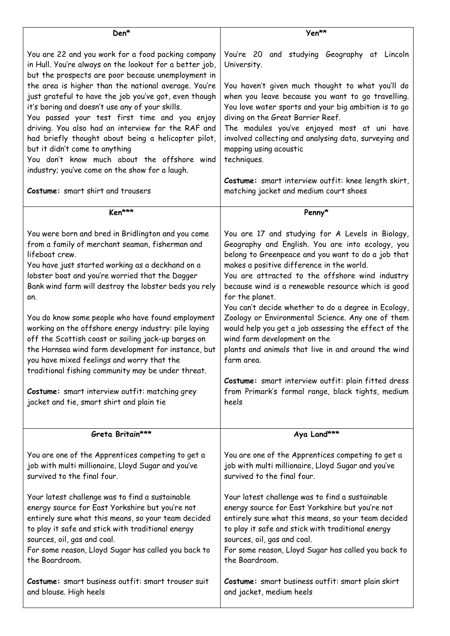| Den*                                                                                                                                                                                                                                                                                                                                                                                                                                                                                                                                                                                                                                                                                                                         | Yen**                                                                                                                                                                                                                                                                                                                                                                                                                                                                                                                                                                                                                                                                                                                             |
|------------------------------------------------------------------------------------------------------------------------------------------------------------------------------------------------------------------------------------------------------------------------------------------------------------------------------------------------------------------------------------------------------------------------------------------------------------------------------------------------------------------------------------------------------------------------------------------------------------------------------------------------------------------------------------------------------------------------------|-----------------------------------------------------------------------------------------------------------------------------------------------------------------------------------------------------------------------------------------------------------------------------------------------------------------------------------------------------------------------------------------------------------------------------------------------------------------------------------------------------------------------------------------------------------------------------------------------------------------------------------------------------------------------------------------------------------------------------------|
| You are 22 and you work for a food packing company<br>in Hull. You're always on the lookout for a better job,<br>but the prospects are poor because unemployment in<br>the area is higher than the national average. You're<br>just grateful to have the job you've got, even though<br>it's boring and doesn't use any of your skills.<br>You passed your test first time and you enjoy<br>driving. You also had an interview for the RAF and<br>had briefly thought about being a helicopter pilot,<br>but it didn't come to anything<br>You don't know much about the offshore wind<br>industry; you've come on the show for a laugh.<br>Costume: smart shirt and trousers                                                | You're 20 and studying Geography at Lincoln<br>University.<br>You haven't given much thought to what you'll do<br>when you leave because you want to go travelling.<br>You love water sports and your big ambition is to go<br>diving on the Great Barrier Reef.<br>The modules you've enjoyed most at uni have<br>involved collecting and analysing data, surveying and<br>mapping using acoustic<br>techniques.<br>Costume: smart interview outfit: knee length skirt,<br>matching jacket and medium court shoes                                                                                                                                                                                                                |
| Ken***                                                                                                                                                                                                                                                                                                                                                                                                                                                                                                                                                                                                                                                                                                                       | Penny*                                                                                                                                                                                                                                                                                                                                                                                                                                                                                                                                                                                                                                                                                                                            |
| You were born and bred in Bridlington and you come<br>from a family of merchant seaman, fisherman and<br>lifeboat crew.<br>You have just started working as a deckhand on a<br>lobster boat and you're worried that the Dogger<br>Bank wind farm will destroy the lobster beds you rely<br>on.<br>You do know some people who have found employment<br>working on the offshore energy industry: pile laying<br>off the Scottish coast or sailing jack-up barges on<br>the Hornsea wind farm development for instance, but<br>you have mixed feelings and worry that the<br>traditional fishing community may be under threat.<br>Costume: smart interview outfit: matching grey<br>jacket and tie, smart shirt and plain tie | You are 17 and studying for A Levels in Biology,<br>Geography and English. You are into ecology, you<br>belong to Greenpeace and you want to do a job that<br>makes a positive difference in the world.<br>You are attracted to the offshore wind industry<br>because wind is a renewable resource which is good<br>for the planet.<br>You can't decide whether to do a degree in Ecology,<br>Zoology or Environmental Science. Any one of them<br>would help you get a job assessing the effect of the<br>wind farm development on the<br>plants and animals that live in and around the wind<br>farm area.<br>Costume: smart interview outfit: plain fitted dress<br>from Primark's formal range, black tights, medium<br>heels |
| Greta Britain***                                                                                                                                                                                                                                                                                                                                                                                                                                                                                                                                                                                                                                                                                                             | Aya Land***                                                                                                                                                                                                                                                                                                                                                                                                                                                                                                                                                                                                                                                                                                                       |
| You are one of the Apprentices competing to get a<br>job with multi millionaire, Lloyd Sugar and you've<br>survived to the final four.<br>Your latest challenge was to find a sustainable<br>energy source for East Yorkshire but you're not<br>entirely sure what this means, so your team decided<br>to play it safe and stick with traditional energy<br>sources, oil, gas and coal.<br>For some reason, Lloyd Sugar has called you back to<br>the Boardroom.                                                                                                                                                                                                                                                             | You are one of the Apprentices competing to get a<br>job with multi millionaire, Lloyd Sugar and you've<br>survived to the final four.<br>Your latest challenge was to find a sustainable<br>energy source for East Yorkshire but you're not<br>entirely sure what this means, so your team decided<br>to play it safe and stick with traditional energy<br>sources, oil, gas and coal.<br>For some reason, Lloyd Sugar has called you back to<br>the Boardroom.                                                                                                                                                                                                                                                                  |
| Costume: smart business outfit: smart trouser suit<br>and blouse. High heels                                                                                                                                                                                                                                                                                                                                                                                                                                                                                                                                                                                                                                                 | Costume: smart business outfit: smart plain skirt<br>and jacket, medium heels                                                                                                                                                                                                                                                                                                                                                                                                                                                                                                                                                                                                                                                     |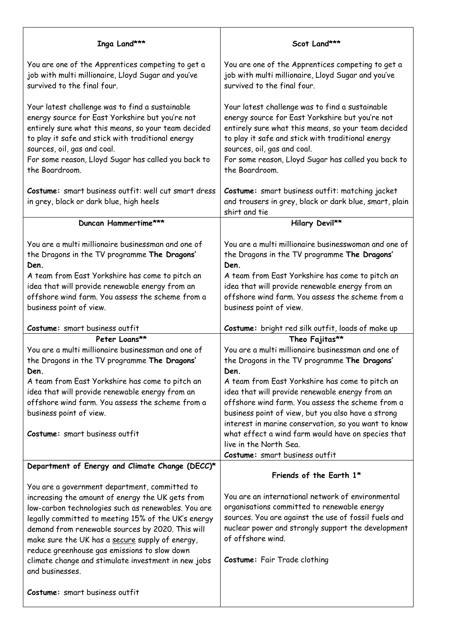| Inga Land***                                                                                                                                                                                                                                                                                                                                                                                                                                                                       | Scot Land***                                                                                                                                                                                                                                                                                                                                                                                                                                                                                                           |
|------------------------------------------------------------------------------------------------------------------------------------------------------------------------------------------------------------------------------------------------------------------------------------------------------------------------------------------------------------------------------------------------------------------------------------------------------------------------------------|------------------------------------------------------------------------------------------------------------------------------------------------------------------------------------------------------------------------------------------------------------------------------------------------------------------------------------------------------------------------------------------------------------------------------------------------------------------------------------------------------------------------|
| You are one of the Apprentices competing to get a<br>job with multi millionaire, Lloyd Sugar and you've<br>survived to the final four.                                                                                                                                                                                                                                                                                                                                             | You are one of the Apprentices competing to get a<br>job with multi millionaire, Lloyd Sugar and you've<br>survived to the final four.                                                                                                                                                                                                                                                                                                                                                                                 |
| Your latest challenge was to find a sustainable<br>energy source for East Yorkshire but you're not<br>entirely sure what this means, so your team decided<br>to play it safe and stick with traditional energy<br>sources, oil, gas and coal.<br>For some reason, Lloyd Sugar has called you back to<br>the Boardroom.                                                                                                                                                             | Your latest challenge was to find a sustainable<br>energy source for East Yorkshire but you're not<br>entirely sure what this means, so your team decided<br>to play it safe and stick with traditional energy<br>sources, oil, gas and coal.<br>For some reason, Lloyd Sugar has called you back to<br>the Boardroom.                                                                                                                                                                                                 |
| Costume: smart business outfit: well cut smart dress<br>in grey, black or dark blue, high heels                                                                                                                                                                                                                                                                                                                                                                                    | Costume: smart business outfit: matching jacket<br>and trousers in grey, black or dark blue, smart, plain<br>shirt and tie                                                                                                                                                                                                                                                                                                                                                                                             |
| Duncan Hammertime***                                                                                                                                                                                                                                                                                                                                                                                                                                                               | Hilary Devil**                                                                                                                                                                                                                                                                                                                                                                                                                                                                                                         |
| You are a multi millionaire businessman and one of<br>the Dragons in the TV programme The Dragons'<br>Den.<br>A team from East Yorkshire has come to pitch an<br>idea that will provide renewable energy from an<br>offshore wind farm. You assess the scheme from a<br>business point of view.                                                                                                                                                                                    | You are a multi millionaire businesswoman and one of<br>the Dragons in the TV programme The Dragons'<br>Den.<br>A team from East Yorkshire has come to pitch an<br>idea that will provide renewable energy from an<br>offshore wind farm. You assess the scheme from a<br>business point of view.                                                                                                                                                                                                                      |
|                                                                                                                                                                                                                                                                                                                                                                                                                                                                                    |                                                                                                                                                                                                                                                                                                                                                                                                                                                                                                                        |
| Costume: smart business outfit                                                                                                                                                                                                                                                                                                                                                                                                                                                     | Costume: bright red silk outfit, loads of make up                                                                                                                                                                                                                                                                                                                                                                                                                                                                      |
| Peter Loans**<br>You are a multi millionaire businessman and one of<br>the Dragons in the TV programme The Dragons'<br>Den.<br>A team from East Yorkshire has come to pitch an<br>idea that will provide renewable energy from an<br>offshore wind farm. You assess the scheme from a<br>business point of view.<br>Costume: smart business outfit                                                                                                                                 | Theo Fajitas**<br>You are a multi millionaire businessman and one of<br>the Dragons in the TV programme The Dragons'<br>Den.<br>A team from East Yorkshire has come to pitch an<br>idea that will provide renewable energy from an<br>offshore wind farm. You assess the scheme from a<br>business point of view, but you also have a strong<br>interest in marine conservation, so you want to know<br>what effect a wind farm would have on species that<br>live in the North Sea.<br>Costume: smart business outfit |
| Department of Energy and Climate Change (DECC)*                                                                                                                                                                                                                                                                                                                                                                                                                                    | Friends of the Earth 1*                                                                                                                                                                                                                                                                                                                                                                                                                                                                                                |
| You are a government department, committed to<br>increasing the amount of energy the UK gets from<br>low-carbon technologies such as renewables. You are<br>legally committed to meeting 15% of the UK's energy<br>demand from renewable sources by 2020. This will<br>make sure the UK has a secure supply of energy,<br>reduce greenhouse gas emissions to slow down<br>climate change and stimulate investment in new jobs<br>and businesses.<br>Costume: smart business outfit | You are an international network of environmental<br>organisations committed to renewable energy<br>sources. You are against the use of fossil fuels and<br>nuclear power and strongly support the development<br>of offshore wind.<br>Costume: Fair Trade clothing                                                                                                                                                                                                                                                    |